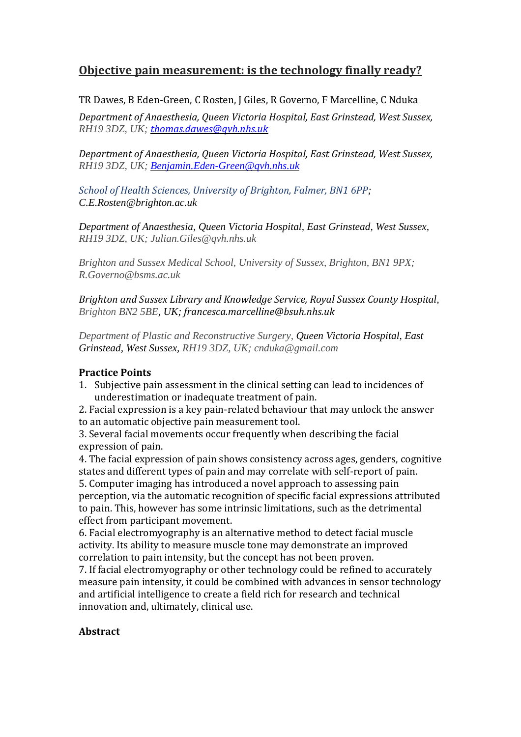# **Objective pain measurement: is the technology finally ready?**

TR Dawes, B Eden-Green, C Rosten, J Giles, R Governo, F Marcelline, C Nduka

*Department of Anaesthesia, Queen Victoria Hospital, East Grinstead, West Sussex, RH19 3DZ, UK; [thomas.dawes@qvh.nhs.uk](mailto:thomas.dawes@qvh.nhs.uk)*

*Department of Anaesthesia, Queen Victoria Hospital, East Grinstead, West Sussex, RH19 3DZ, UK; [Benjamin.Eden-Green@qvh.nhs.uk](mailto:Benjamin.Eden-Green@qvh.nhs.uk)*

*School of Health Sciences, University of Brighton, Falmer, BN1 6PP; [C.E.Rosten@brighton.ac.uk](mailto:C.E.Rosten@brighton.ac.uk)*

*Department of Anaesthesia, Queen Victoria Hospital, East Grinstead, West Sussex, RH19 3DZ, UK; Julian.Giles@qvh.nhs.uk*

*Brighton and Sussex Medical School, University of Sussex, Brighton, BN1 9PX; R.Governo@bsms.ac.uk*

*Brighton and Sussex Library and Knowledge Service, Royal Sussex County Hospital, Brighton BN2 5BE, UK; francesca.marcelline@bsuh.nhs.uk*

*Department of Plastic and Reconstructive Surgery, Queen Victoria Hospital, East Grinstead, West Sussex, RH19 3DZ, UK; cnduka@gmail.com*

# **Practice Points**

1. Subjective pain assessment in the clinical setting can lead to incidences of underestimation or inadequate treatment of pain.

2. Facial expression is a key pain-related behaviour that may unlock the answer to an automatic objective pain measurement tool.

3. Several facial movements occur frequently when describing the facial expression of pain.

4. The facial expression of pain shows consistency across ages, genders, cognitive states and different types of pain and may correlate with self-report of pain. 5. Computer imaging has introduced a novel approach to assessing pain perception, via the automatic recognition of specific facial expressions attributed to pain. This, however has some intrinsic limitations, such as the detrimental effect from participant movement.

6. Facial electromyography is an alternative method to detect facial muscle activity. Its ability to measure muscle tone may demonstrate an improved correlation to pain intensity, but the concept has not been proven.

7. If facial electromyography or other technology could be refined to accurately measure pain intensity, it could be combined with advances in sensor technology and artificial intelligence to create a field rich for research and technical innovation and, ultimately, clinical use.

# **Abstract**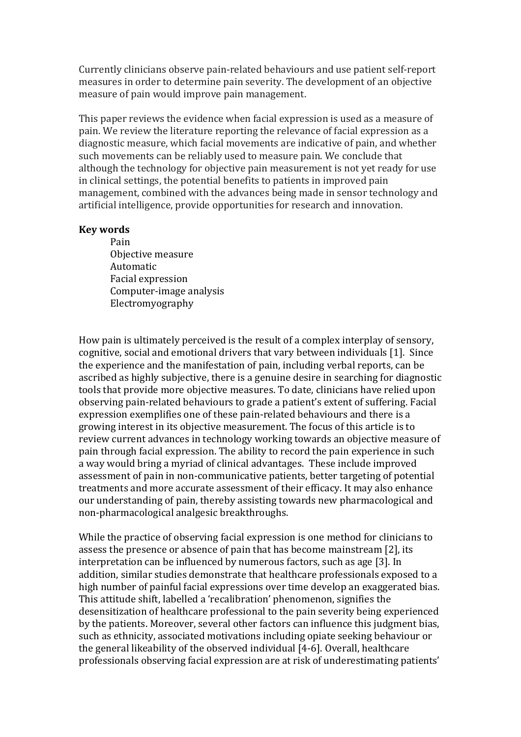Currently clinicians observe pain-related behaviours and use patient self-report measures in order to determine pain severity. The development of an objective measure of pain would improve pain management.

This paper reviews the evidence when facial expression is used as a measure of pain. We review the literature reporting the relevance of facial expression as a diagnostic measure, which facial movements are indicative of pain, and whether such movements can be reliably used to measure pain. We conclude that although the technology for objective pain measurement is not yet ready for use in clinical settings, the potential benefits to patients in improved pain management, combined with the advances being made in sensor technology and artificial intelligence, provide opportunities for research and innovation.

#### **Key words**

Pain Objective measure Automatic Facial expression Computer-image analysis Electromyography

How pain is ultimately perceived is the result of a complex interplay of sensory, cognitive, social and emotional drivers that vary between individuals [1]. Since the experience and the manifestation of pain, including verbal reports, can be ascribed as highly subjective, there is a genuine desire in searching for diagnostic tools that provide more objective measures. To date, clinicians have relied upon observing pain-related behaviours to grade a patient's extent of suffering. Facial expression exemplifies one of these pain-related behaviours and there is a growing interest in its objective measurement. The focus of this article is to review current advances in technology working towards an objective measure of pain through facial expression. The ability to record the pain experience in such a way would bring a myriad of clinical advantages. These include improved assessment of pain in non-communicative patients, better targeting of potential treatments and more accurate assessment of their efficacy. It may also enhance our understanding of pain, thereby assisting towards new pharmacological and non-pharmacological analgesic breakthroughs.

While the practice of observing facial expression is one method for clinicians to assess the presence or absence of pain that has become mainstream [2], its interpretation can be influenced by numerous factors, such as age [3]. In addition, similar studies demonstrate that healthcare professionals exposed to a high number of painful facial expressions over time develop an exaggerated bias. This attitude shift, labelled a 'recalibration' phenomenon, signifies the desensitization of healthcare professional to the pain severity being experienced by the patients. Moreover, several other factors can influence this judgment bias, such as ethnicity, associated motivations including opiate seeking behaviour or the general likeability of the observed individual [4-6]. Overall, healthcare professionals observing facial expression are at risk of underestimating patients'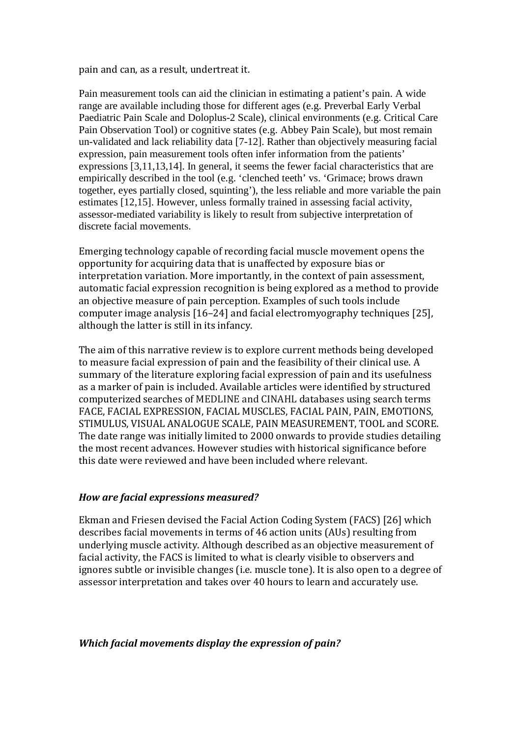pain and can, as a result, undertreat it.

Pain measurement tools can aid the clinician in estimating a patient's pain. A wide range are available including those for different ages (e.g. Preverbal Early Verbal Paediatric Pain Scale and Doloplus-2 Scale), clinical environments (e.g. Critical Care Pain Observation Tool) or cognitive states (e.g. Abbey Pain Scale), but most remain un-validated and lack reliability data [7-12]. Rather than objectively measuring facial expression, pain measurement tools often infer information from the patients' expressions [3,11,13,14]. In general, it seems the fewer facial characteristics that are empirically described in the tool (e.g. 'clenched teeth' vs. 'Grimace; brows drawn together, eyes partially closed, squinting'), the less reliable and more variable the pain estimates [12,15]. However, unless formally trained in assessing facial activity, assessor-mediated variability is likely to result from subjective interpretation of discrete facial movements.

Emerging technology capable of recording facial muscle movement opens the opportunity for acquiring data that is unaffected by exposure bias or interpretation variation. More importantly, in the context of pain assessment, automatic facial expression recognition is being explored as a method to provide an objective measure of pain perception. Examples of such tools include computer image analysis [16–24] and facial electromyography techniques [25], although the latter is still in its infancy.

The aim of this narrative review is to explore current methods being developed to measure facial expression of pain and the feasibility of their clinical use. A summary of the literature exploring facial expression of pain and its usefulness as a marker of pain is included. Available articles were identified by structured computerized searches of MEDLINE and CINAHL databases using search terms FACE, FACIAL EXPRESSION, FACIAL MUSCLES, FACIAL PAIN, PAIN, EMOTIONS, STIMULUS, VISUAL ANALOGUE SCALE, PAIN MEASUREMENT, TOOL and SCORE. The date range was initially limited to 2000 onwards to provide studies detailing the most recent advances. However studies with historical significance before this date were reviewed and have been included where relevant.

#### *How are facial expressions measured?*

Ekman and Friesen devised the Facial Action Coding System (FACS) [26] which describes facial movements in terms of 46 action units (AUs) resulting from underlying muscle activity. Although described as an objective measurement of facial activity, the FACS is limited to what is clearly visible to observers and ignores subtle or invisible changes (i.e. muscle tone). It is also open to a degree of assessor interpretation and takes over 40 hours to learn and accurately use.

#### *Which facial movements display the expression of pain?*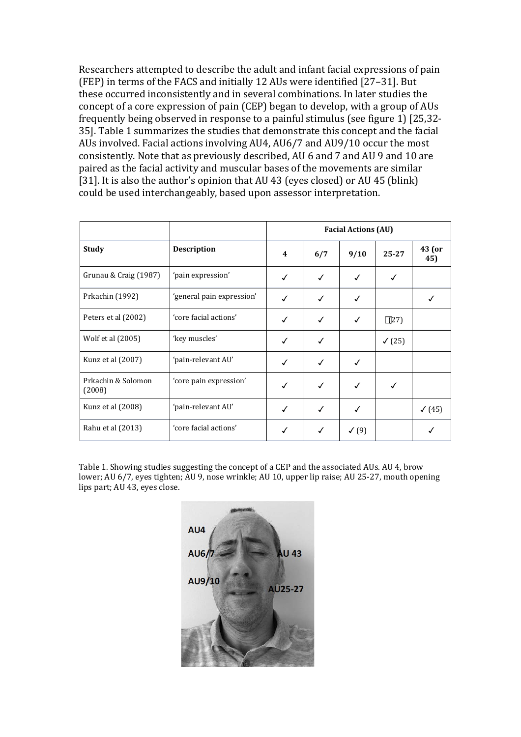Researchers attempted to describe the adult and infant facial expressions of pain (FEP) in terms of the FACS and initially 12 AUs were identified [27–31]. But these occurred inconsistently and in several combinations. In later studies the concept of a core expression of pain (CEP) began to develop, with a group of AUs frequently being observed in response to a painful stimulus (see figure 1) [25,32- 35]. Table 1 summarizes the studies that demonstrate this concept and the facial AUs involved. Facial actions involving AU4, AU6/7 and AU9/10 occur the most consistently. Note that as previously described, AU 6 and 7 and AU 9 and 10 are paired as the facial activity and muscular bases of the movements are similar [31]. It is also the author's opinion that AU 43 (eyes closed) or AU 45 (blink) could be used interchangeably, based upon assessor interpretation.

|                              |                           | <b>Facial Actions (AU)</b> |     |              |                   |                   |
|------------------------------|---------------------------|----------------------------|-----|--------------|-------------------|-------------------|
| <b>Study</b>                 | <b>Description</b>        | 4                          | 6/7 | 9/10         | $25 - 27$         | 43 (or<br>45)     |
| Grunau & Craig (1987)        | 'pain expression'         | ✓                          | ✓   | ✓            | ✓                 |                   |
| Prkachin (1992)              | 'general pain expression' | ✓                          | ✓   |              |                   |                   |
| Peters et al (2002)          | 'core facial actions'     |                            | ✓   | ✓            | $\Box$ (27)       |                   |
| Wolf et al (2005)            | 'key muscles'             | ✓                          | ✓   |              | $\checkmark$ (25) |                   |
| Kunz et al (2007)            | 'pain-relevant AU'        | ✓                          | √   | ✓            |                   |                   |
| Prkachin & Solomon<br>(2008) | 'core pain expression'    | √                          | ✓   | ✓            | √                 |                   |
| Kunz et al (2008)            | 'pain-relevant AU'        | ✓                          | ✓   | ✓            |                   | $\checkmark$ (45) |
| Rahu et al (2013)            | 'core facial actions'     |                            | ✓   | $\sqrt{(9)}$ |                   |                   |

Table 1. Showing studies suggesting the concept of a CEP and the associated AUs. AU 4, brow lower; AU 6/7, eyes tighten; AU 9, nose wrinkle; AU 10, upper lip raise; AU 25-27, mouth opening lips part; AU 43, eyes close.

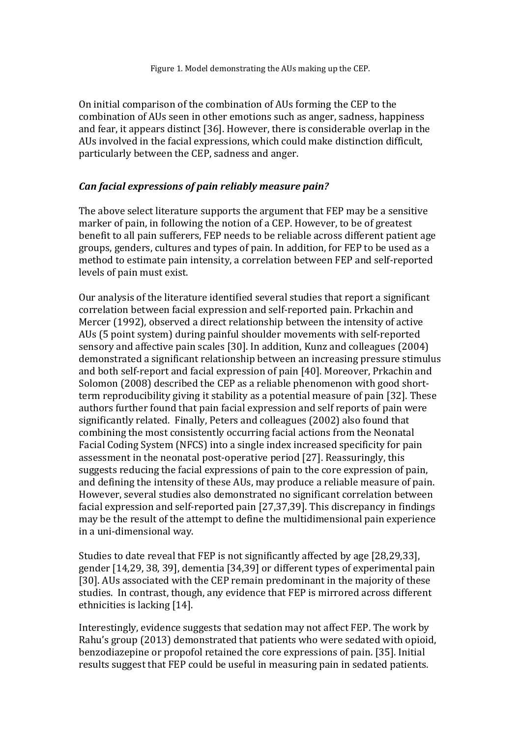On initial comparison of the combination of AUs forming the CEP to the combination of AUs seen in other emotions such as anger, sadness, happiness and fear, it appears distinct [36]. However, there is considerable overlap in the AUs involved in the facial expressions, which could make distinction difficult, particularly between the CEP, sadness and anger.

#### *Can facial expressions of pain reliably measure pain?*

The above select literature supports the argument that FEP may be a sensitive marker of pain, in following the notion of a CEP. However, to be of greatest benefit to all pain sufferers, FEP needs to be reliable across different patient age groups, genders, cultures and types of pain. In addition, for FEP to be used as a method to estimate pain intensity, a correlation between FEP and self-reported levels of pain must exist.

Our analysis of the literature identified several studies that report a significant correlation between facial expression and self-reported pain. Prkachin and Mercer (1992), observed a direct relationship between the intensity of active AUs (5 point system) during painful shoulder movements with self-reported sensory and affective pain scales [30]. In addition, Kunz and colleagues (2004) demonstrated a significant relationship between an increasing pressure stimulus and both self-report and facial expression of pain [40]. Moreover, Prkachin and Solomon (2008) described the CEP as a reliable phenomenon with good shortterm reproducibility giving it stability as a potential measure of pain [32]. These authors further found that pain facial expression and self reports of pain were significantly related. Finally, Peters and colleagues (2002) also found that combining the most consistently occurring facial actions from the Neonatal Facial Coding System (NFCS) into a single index increased specificity for pain assessment in the neonatal post-operative period [27]. Reassuringly, this suggests reducing the facial expressions of pain to the core expression of pain, and defining the intensity of these AUs, may produce a reliable measure of pain. However, several studies also demonstrated no significant correlation between facial expression and self-reported pain [27,37,39]. This discrepancy in findings may be the result of the attempt to define the multidimensional pain experience in a uni-dimensional way.

Studies to date reveal that FEP is not significantly affected by age [28,29,33], gender [14,29, 38, 39], dementia [34,39] or different types of experimental pain [30]. AUs associated with the CEP remain predominant in the majority of these studies. In contrast, though, any evidence that FEP is mirrored across different ethnicities is lacking [14].

Interestingly, evidence suggests that sedation may not affect FEP. The work by Rahu's group (2013) demonstrated that patients who were sedated with opioid, benzodiazepine or propofol retained the core expressions of pain. [35]. Initial results suggest that FEP could be useful in measuring pain in sedated patients.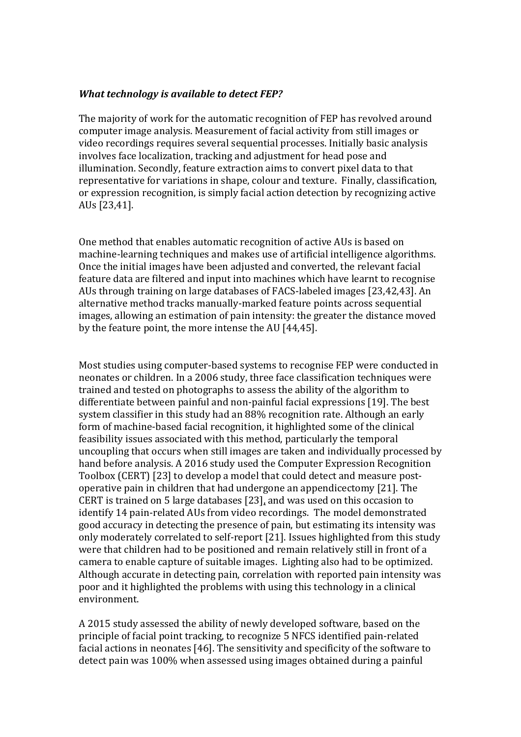# *What technology is available to detect FEP?*

The majority of work for the automatic recognition of FEP has revolved around computer image analysis. Measurement of facial activity from still images or video recordings requires several sequential processes. Initially basic analysis involves face localization, tracking and adjustment for head pose and illumination. Secondly, feature extraction aims to convert pixel data to that representative for variations in shape, colour and texture. Finally, classification, or expression recognition, is simply facial action detection by recognizing active AUs [23,41].

One method that enables automatic recognition of active AUs is based on machine-learning techniques and makes use of artificial intelligence algorithms. Once the initial images have been adjusted and converted, the relevant facial feature data are filtered and input into machines which have learnt to recognise AUs through training on large databases of FACS-labeled images [23,42,43]. An alternative method tracks manually-marked feature points across sequential images, allowing an estimation of pain intensity: the greater the distance moved by the feature point, the more intense the AU [44,45].

Most studies using computer-based systems to recognise FEP were conducted in neonates or children. In a 2006 study, three face classification techniques were trained and tested on photographs to assess the ability of the algorithm to differentiate between painful and non-painful facial expressions [19]. The best system classifier in this study had an 88% recognition rate. Although an early form of machine-based facial recognition, it highlighted some of the clinical feasibility issues associated with this method, particularly the temporal uncoupling that occurs when still images are taken and individually processed by hand before analysis. A 2016 study used the Computer Expression Recognition Toolbox (CERT) [23] to develop a model that could detect and measure postoperative pain in children that had undergone an appendicectomy [21]. The CERT is trained on 5 large databases [23], and was used on this occasion to identify 14 pain-related AUs from video recordings. The model demonstrated good accuracy in detecting the presence of pain, but estimating its intensity was only moderately correlated to self-report [21]. Issues highlighted from this study were that children had to be positioned and remain relatively still in front of a camera to enable capture of suitable images. Lighting also had to be optimized. Although accurate in detecting pain, correlation with reported pain intensity was poor and it highlighted the problems with using this technology in a clinical environment.

A 2015 study assessed the ability of newly developed software, based on the principle of facial point tracking, to recognize 5 NFCS identified pain-related facial actions in neonates [46]. The sensitivity and specificity of the software to detect pain was 100% when assessed using images obtained during a painful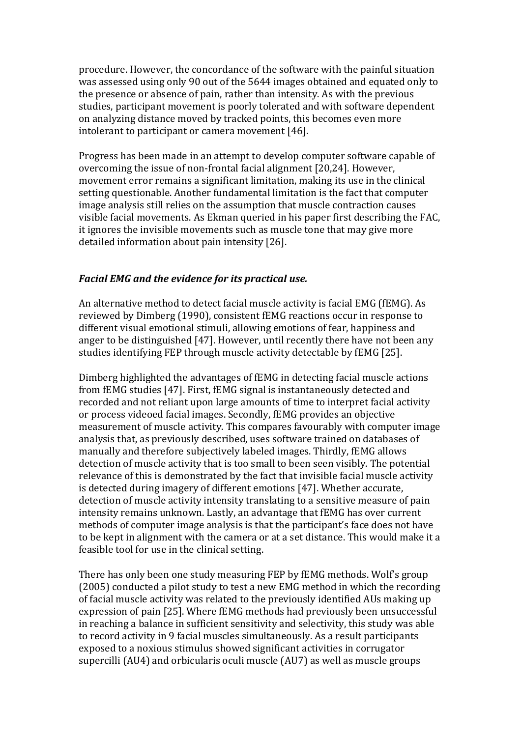procedure. However, the concordance of the software with the painful situation was assessed using only 90 out of the 5644 images obtained and equated only to the presence or absence of pain, rather than intensity. As with the previous studies, participant movement is poorly tolerated and with software dependent on analyzing distance moved by tracked points, this becomes even more intolerant to participant or camera movement [46].

Progress has been made in an attempt to develop computer software capable of overcoming the issue of non-frontal facial alignment [20,24]. However, movement error remains a significant limitation, making its use in the clinical setting questionable. Another fundamental limitation is the fact that computer image analysis still relies on the assumption that muscle contraction causes visible facial movements. As Ekman queried in his paper first describing the FAC, it ignores the invisible movements such as muscle tone that may give more detailed information about pain intensity [26].

#### *Facial EMG and the evidence for its practical use.*

An alternative method to detect facial muscle activity is facial EMG (fEMG). As reviewed by Dimberg (1990), consistent fEMG reactions occur in response to different visual emotional stimuli, allowing emotions of fear, happiness and anger to be distinguished [47]. However, until recently there have not been any studies identifying FEP through muscle activity detectable by fEMG [25].

Dimberg highlighted the advantages of fEMG in detecting facial muscle actions from fEMG studies [47]. First, fEMG signal is instantaneously detected and recorded and not reliant upon large amounts of time to interpret facial activity or process videoed facial images. Secondly, fEMG provides an objective measurement of muscle activity. This compares favourably with computer image analysis that, as previously described, uses software trained on databases of manually and therefore subjectively labeled images. Thirdly, fEMG allows detection of muscle activity that is too small to been seen visibly. The potential relevance of this is demonstrated by the fact that invisible facial muscle activity is detected during imagery of different emotions [47]. Whether accurate, detection of muscle activity intensity translating to a sensitive measure of pain intensity remains unknown. Lastly, an advantage that fEMG has over current methods of computer image analysis is that the participant's face does not have to be kept in alignment with the camera or at a set distance. This would make it a feasible tool for use in the clinical setting.

There has only been one study measuring FEP by fEMG methods. Wolf's group (2005) conducted a pilot study to test a new EMG method in which the recording of facial muscle activity was related to the previously identified AUs making up expression of pain [25]. Where fEMG methods had previously been unsuccessful in reaching a balance in sufficient sensitivity and selectivity, this study was able to record activity in 9 facial muscles simultaneously. As a result participants exposed to a noxious stimulus showed significant activities in corrugator supercilli (AU4) and orbicularis oculi muscle (AU7) as well as muscle groups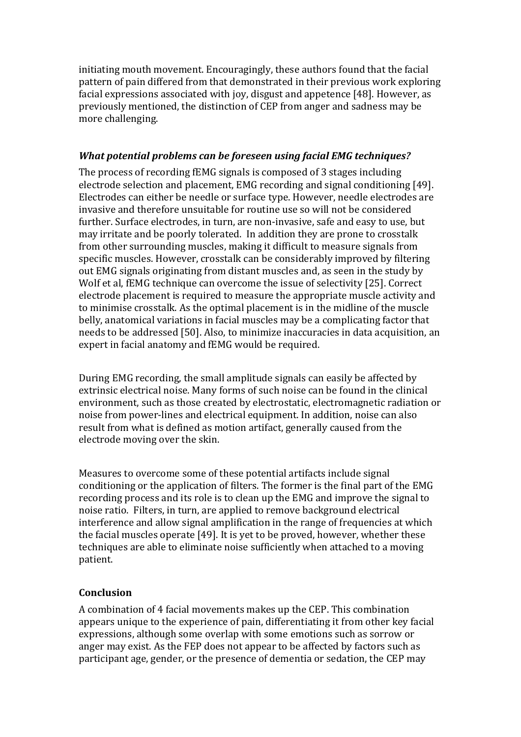initiating mouth movement. Encouragingly, these authors found that the facial pattern of pain differed from that demonstrated in their previous work exploring facial expressions associated with joy, disgust and appetence [48]. However, as previously mentioned, the distinction of CEP from anger and sadness may be more challenging.

### *What potential problems can be foreseen using facial EMG techniques?*

The process of recording fEMG signals is composed of 3 stages including electrode selection and placement, EMG recording and signal conditioning [49]. Electrodes can either be needle or surface type. However, needle electrodes are invasive and therefore unsuitable for routine use so will not be considered further. Surface electrodes, in turn, are non-invasive, safe and easy to use, but may irritate and be poorly tolerated. In addition they are prone to crosstalk from other surrounding muscles, making it difficult to measure signals from specific muscles. However, crosstalk can be considerably improved by filtering out EMG signals originating from distant muscles and, as seen in the study by Wolf et al, fEMG technique can overcome the issue of selectivity [25]. Correct electrode placement is required to measure the appropriate muscle activity and to minimise crosstalk. As the optimal placement is in the midline of the muscle belly, anatomical variations in facial muscles may be a complicating factor that needs to be addressed [50]. Also, to minimize inaccuracies in data acquisition, an expert in facial anatomy and fEMG would be required.

During EMG recording, the small amplitude signals can easily be affected by extrinsic electrical noise. Many forms of such noise can be found in the clinical environment, such as those created by electrostatic, electromagnetic radiation or noise from power-lines and electrical equipment. In addition, noise can also result from what is defined as motion artifact, generally caused from the electrode moving over the skin.

Measures to overcome some of these potential artifacts include signal conditioning or the application of filters. The former is the final part of the EMG recording process and its role is to clean up the EMG and improve the signal to noise ratio. Filters, in turn, are applied to remove background electrical interference and allow signal amplification in the range of frequencies at which the facial muscles operate [49]. It is yet to be proved, however, whether these techniques are able to eliminate noise sufficiently when attached to a moving patient.

# **Conclusion**

A combination of 4 facial movements makes up the CEP. This combination appears unique to the experience of pain, differentiating it from other key facial expressions, although some overlap with some emotions such as sorrow or anger may exist. As the FEP does not appear to be affected by factors such as participant age, gender, or the presence of dementia or sedation, the CEP may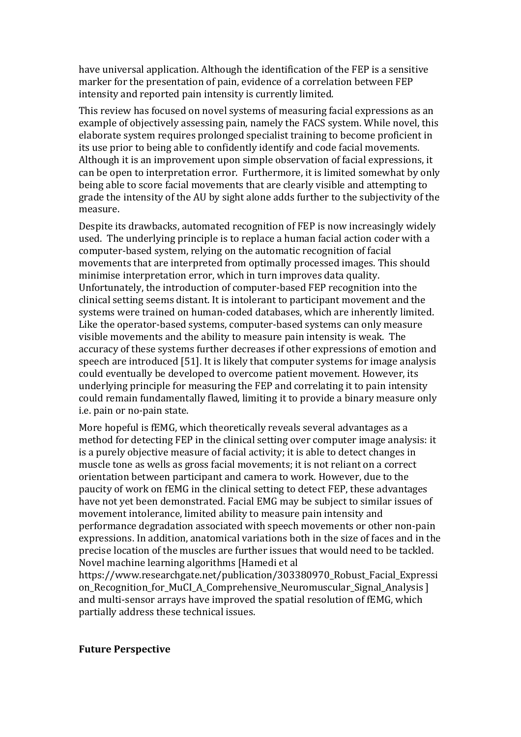have universal application. Although the identification of the FEP is a sensitive marker for the presentation of pain, evidence of a correlation between FEP intensity and reported pain intensity is currently limited.

This review has focused on novel systems of measuring facial expressions as an example of objectively assessing pain, namely the FACS system. While novel, this elaborate system requires prolonged specialist training to become proficient in its use prior to being able to confidently identify and code facial movements. Although it is an improvement upon simple observation of facial expressions, it can be open to interpretation error. Furthermore, it is limited somewhat by only being able to score facial movements that are clearly visible and attempting to grade the intensity of the AU by sight alone adds further to the subjectivity of the measure.

Despite its drawbacks, automated recognition of FEP is now increasingly widely used. The underlying principle is to replace a human facial action coder with a computer-based system, relying on the automatic recognition of facial movements that are interpreted from optimally processed images. This should minimise interpretation error, which in turn improves data quality. Unfortunately, the introduction of computer-based FEP recognition into the clinical setting seems distant. It is intolerant to participant movement and the systems were trained on human-coded databases, which are inherently limited. Like the operator-based systems, computer-based systems can only measure visible movements and the ability to measure pain intensity is weak. The accuracy of these systems further decreases if other expressions of emotion and speech are introduced [51]. It is likely that computer systems for image analysis could eventually be developed to overcome patient movement. However, its underlying principle for measuring the FEP and correlating it to pain intensity could remain fundamentally flawed, limiting it to provide a binary measure only i.e. pain or no-pain state.

More hopeful is fEMG, which theoretically reveals several advantages as a method for detecting FEP in the clinical setting over computer image analysis: it is a purely objective measure of facial activity; it is able to detect changes in muscle tone as wells as gross facial movements; it is not reliant on a correct orientation between participant and camera to work. However, due to the paucity of work on fEMG in the clinical setting to detect FEP, these advantages have not yet been demonstrated. Facial EMG may be subject to similar issues of movement intolerance, limited ability to measure pain intensity and performance degradation associated with speech movements or other non-pain expressions. In addition, anatomical variations both in the size of faces and in the precise location of the muscles are further issues that would need to be tackled. Novel machine learning algorithms [Hamedi et al

https://www.researchgate.net/publication/303380970\_Robust\_Facial\_Expressi on\_Recognition\_for\_MuCI\_A\_Comprehensive\_Neuromuscular\_Signal\_Analysis ] and multi-sensor arrays have improved the spatial resolution of fEMG, which partially address these technical issues.

#### **Future Perspective**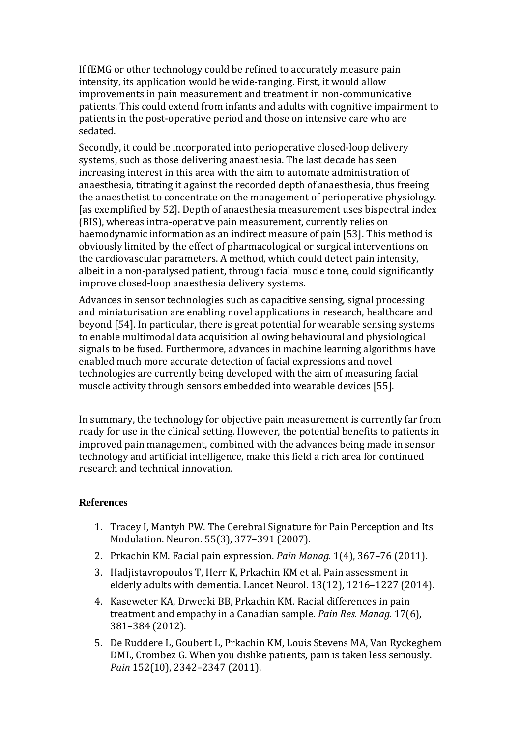If fEMG or other technology could be refined to accurately measure pain intensity, its application would be wide-ranging. First, it would allow improvements in pain measurement and treatment in non-communicative patients. This could extend from infants and adults with cognitive impairment to patients in the post-operative period and those on intensive care who are sedated.

Secondly, it could be incorporated into perioperative closed-loop delivery systems, such as those delivering anaesthesia. The last decade has seen increasing interest in this area with the aim to automate administration of anaesthesia, titrating it against the recorded depth of anaesthesia, thus freeing the anaesthetist to concentrate on the management of perioperative physiology. [as exemplified by 52]. Depth of anaesthesia measurement uses bispectral index (BIS), whereas intra-operative pain measurement, currently relies on haemodynamic information as an indirect measure of pain [53]. This method is obviously limited by the effect of pharmacological or surgical interventions on the cardiovascular parameters. A method, which could detect pain intensity, albeit in a non-paralysed patient, through facial muscle tone, could significantly improve closed-loop anaesthesia delivery systems.

Advances in sensor technologies such as capacitive sensing, signal processing and miniaturisation are enabling novel applications in research, healthcare and beyond [54]. In particular, there is great potential for wearable sensing systems to enable multimodal data acquisition allowing behavioural and physiological signals to be fused. Furthermore, advances in machine learning algorithms have enabled much more accurate detection of facial expressions and novel technologies are currently being developed with the aim of measuring facial muscle activity through sensors embedded into wearable devices [55].

In summary, the technology for objective pain measurement is currently far from ready for use in the clinical setting. However, the potential benefits to patients in improved pain management, combined with the advances being made in sensor technology and artificial intelligence, make this field a rich area for continued research and technical innovation.

# **References**

- 1. Tracey I, Mantyh PW. The Cerebral Signature for Pain Perception and Its Modulation. Neuron. 55(3), 377–391 (2007).
- 2. Prkachin KM. Facial pain expression. *Pain Manag.* 1(4), 367–76 (2011).
- 3. Hadjistavropoulos T, Herr K, Prkachin KM et al. Pain assessment in elderly adults with dementia. Lancet Neurol. 13(12), 1216–1227 (2014).
- 4. Kaseweter KA, Drwecki BB, Prkachin KM. Racial differences in pain treatment and empathy in a Canadian sample. *Pain Res. Manag.* 17(6), 381–384 (2012).
- 5. De Ruddere L, Goubert L, Prkachin KM, Louis Stevens MA, Van Ryckeghem DML, Crombez G. When you dislike patients, pain is taken less seriously. *Pain* 152(10), 2342–2347 (2011).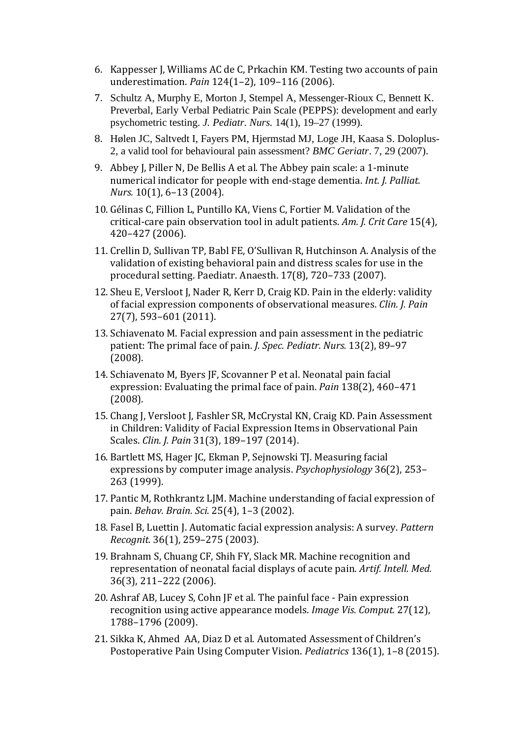- 6. Kappesser J, Williams AC de C, Prkachin KM. Testing two accounts of pain underestimation. *Pain* 124(1–2), 109–116 (2006).
- 7. Schultz A, Murphy E, Morton J, Stempel A, Messenger-Rioux C, Bennett K. Preverbal, Early Verbal Pediatric Pain Scale (PEPPS): development and early psychometric testing. *J. Pediatr. Nurs.* 14(1), 19–27 (1999).
- 8. Hølen JC, Saltvedt I, Fayers PM, Hjermstad MJ, Loge JH, Kaasa S. Doloplus-2, a valid tool for behavioural pain assessment? *BMC Geriatr*. 7, 29 (2007).
- 9. Abbey J, Piller N, De Bellis A et al*.* The Abbey pain scale: a 1-minute numerical indicator for people with end-stage dementia. *Int. J. Palliat. Nurs.* 10(1), 6–13 (2004).
- 10. Gélinas C, Fillion L, Puntillo KA, Viens C, Fortier M. Validation of the critical-care pain observation tool in adult patients. *Am. J. Crit Care* 15(4), 420–427 (2006).
- 11. Crellin D, Sullivan TP, Babl FE, O'Sullivan R, Hutchinson A. Analysis of the validation of existing behavioral pain and distress scales for use in the procedural setting. Paediatr. Anaesth. 17(8), 720–733 (2007).
- 12. Sheu E, Versloot J, Nader R, Kerr D, Craig KD. Pain in the elderly: validity of facial expression components of observational measures. *Clin. J. Pain* 27(7), 593–601 (2011).
- 13. Schiavenato M. Facial expression and pain assessment in the pediatric patient: The primal face of pain. *J. Spec. Pediatr. Nurs.* 13(2), 89–97 (2008).
- 14. Schiavenato M, Byers JF, Scovanner P et al. Neonatal pain facial expression: Evaluating the primal face of pain. *Pain* 138(2), 460–471 (2008).
- 15. Chang J, Versloot J, Fashler SR, McCrystal KN, Craig KD. Pain Assessment in Children: Validity of Facial Expression Items in Observational Pain Scales. *Clin. J. Pain* 31(3), 189–197 (2014).
- 16. Bartlett MS, Hager JC, Ekman P, Sejnowski TJ. Measuring facial expressions by computer image analysis. *Psychophysiology* 36(2), 253– 263 (1999).
- 17. Pantic M, Rothkrantz LJM. Machine understanding of facial expression of pain. *Behav. Brain. Sci.* 25(4), 1–3 (2002).
- 18. Fasel B, Luettin J. Automatic facial expression analysis: A survey. *Pattern Recognit.* 36(1), 259–275 (2003).
- 19. Brahnam S, Chuang CF, Shih FY, Slack MR. Machine recognition and representation of neonatal facial displays of acute pain. *Artif. Intell. Med.* 36(3), 211–222 (2006).
- 20. Ashraf AB, Lucey S, Cohn JF et al*.* The painful face Pain expression recognition using active appearance models. *Image Vis. Comput.* 27(12), 1788–1796 (2009).
- 21. Sikka K, Ahmed AA, Diaz D et al. Automated Assessment of Children's Postoperative Pain Using Computer Vision. *Pediatrics* 136(1), 1–8 (2015).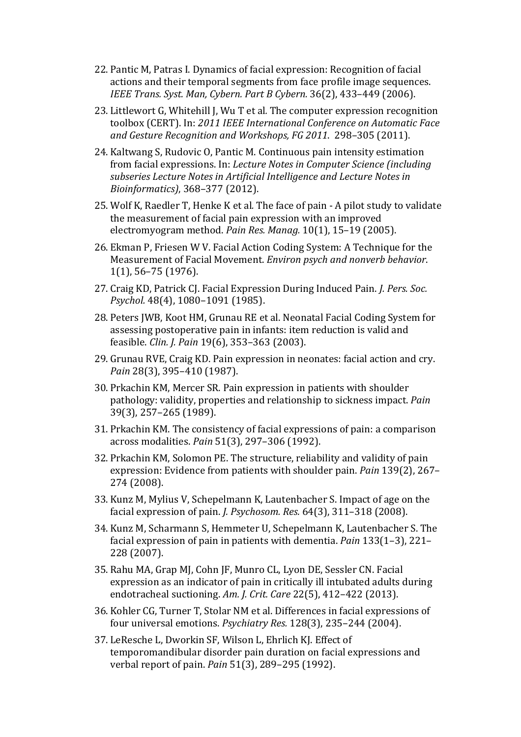- 22. Pantic M, Patras I. Dynamics of facial expression: Recognition of facial actions and their temporal segments from face profile image sequences. *IEEE Trans. Syst. Man, Cybern. Part B Cybern.* 36(2), 433–449 (2006).
- 23. Littlewort G, Whitehill J, Wu T et al*.* The computer expression recognition toolbox (CERT). In: *2011 IEEE International Conference on Automatic Face and Gesture Recognition and Workshops, FG 2011*. 298–305 (2011).
- 24. Kaltwang S, Rudovic O, Pantic M. Continuous pain intensity estimation from facial expressions. In: *Lecture Notes in Computer Science (including subseries Lecture Notes in Artificial Intelligence and Lecture Notes in Bioinformatics)*, 368–377 (2012).
- 25. Wolf K, Raedler T, Henke K et al*.* The face of pain A pilot study to validate the measurement of facial pain expression with an improved electromyogram method. *Pain Res. Manag.* 10(1), 15–19 (2005).
- 26. Ekman P, Friesen W V. Facial Action Coding System: A Technique for the Measurement of Facial Movement. *Environ psych and nonverb behavior*. 1(1), 56–75 (1976).
- 27. Craig KD, Patrick CJ. Facial Expression During Induced Pain. *J. Pers. Soc. Psychol.* 48(4), 1080–1091 (1985).
- 28. Peters JWB, Koot HM, Grunau RE et al. Neonatal Facial Coding System for assessing postoperative pain in infants: item reduction is valid and feasible. *Clin. J. Pain* 19(6), 353–363 (2003).
- 29. Grunau RVE, Craig KD. Pain expression in neonates: facial action and cry. *Pain* 28(3), 395–410 (1987).
- 30. Prkachin KM, Mercer SR. Pain expression in patients with shoulder pathology: validity, properties and relationship to sickness impact. *Pain* 39(3), 257–265 (1989).
- 31. Prkachin KM. The consistency of facial expressions of pain: a comparison across modalities. *Pain* 51(3), 297–306 (1992).
- 32. Prkachin KM, Solomon PE. The structure, reliability and validity of pain expression: Evidence from patients with shoulder pain. *Pain* 139(2), 267– 274 (2008).
- 33. Kunz M, Mylius V, Schepelmann K, Lautenbacher S. Impact of age on the facial expression of pain. *J. Psychosom. Res.* 64(3), 311–318 (2008).
- 34. Kunz M, Scharmann S, Hemmeter U, Schepelmann K, Lautenbacher S. The facial expression of pain in patients with dementia. *Pain* 133(1–3), 221– 228 (2007).
- 35. Rahu MA, Grap MJ, Cohn JF, Munro CL, Lyon DE, Sessler CN. Facial expression as an indicator of pain in critically ill intubated adults during endotracheal suctioning. *Am. J. Crit. Care* 22(5), 412–422 (2013).
- 36. Kohler CG, Turner T, Stolar NM et al. Differences in facial expressions of four universal emotions. *Psychiatry Res.* 128(3), 235–244 (2004).
- 37. LeResche L, Dworkin SF, Wilson L, Ehrlich KJ. Effect of temporomandibular disorder pain duration on facial expressions and verbal report of pain. *Pain* 51(3), 289–295 (1992).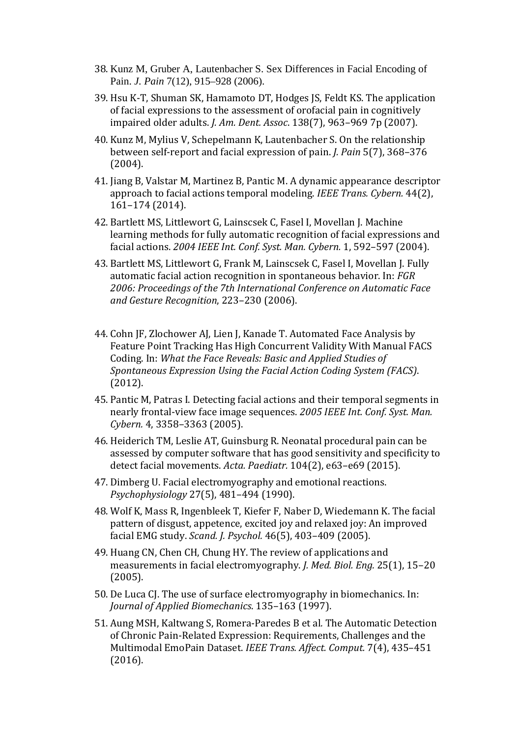- 38. Kunz M, Gruber A, Lautenbacher S. Sex Differences in Facial Encoding of Pain. *J. Pain* 7(12), 915–928 (2006).
- 39. Hsu K-T, Shuman SK, Hamamoto DT, Hodges JS, Feldt KS. The application of facial expressions to the assessment of orofacial pain in cognitively impaired older adults. *J. Am. Dent. Assoc*. 138(7), 963–969 7p (2007).
- 40. Kunz M, Mylius V, Schepelmann K, Lautenbacher S. On the relationship between self-report and facial expression of pain. *J. Pain* 5(7), 368–376 (2004).
- 41. Jiang B, Valstar M, Martinez B, Pantic M. A dynamic appearance descriptor approach to facial actions temporal modeling. *IEEE Trans. Cybern.* 44(2), 161–174 (2014).
- 42. Bartlett MS, Littlewort G, Lainscsek C, Fasel I, Movellan J. Machine learning methods for fully automatic recognition of facial expressions and facial actions. *2004 IEEE Int. Conf. Syst. Man. Cybern.* 1, 592–597 (2004).
- 43. Bartlett MS, Littlewort G, Frank M, Lainscsek C, Fasel I, Movellan J. Fully automatic facial action recognition in spontaneous behavior. In: *FGR 2006: Proceedings of the 7th International Conference on Automatic Face and Gesture Recognition*, 223–230 (2006).
- 44. Cohn JF, Zlochower AJ, Lien J, Kanade T. Automated Face Analysis by Feature Point Tracking Has High Concurrent Validity With Manual FACS Coding. In: *What the Face Reveals: Basic and Applied Studies of Spontaneous Expression Using the Facial Action Coding System (FACS)*. (2012).
- 45. Pantic M, Patras I. Detecting facial actions and their temporal segments in nearly frontal-view face image sequences. *2005 IEEE Int. Conf. Syst. Man. Cybern.* 4, 3358–3363 (2005).
- 46. Heiderich TM, Leslie AT, Guinsburg R. Neonatal procedural pain can be assessed by computer software that has good sensitivity and specificity to detect facial movements. *Acta. Paediatr.* 104(2), e63–e69 (2015).
- 47. Dimberg U. Facial electromyography and emotional reactions. *Psychophysiology* 27(5), 481–494 (1990).
- 48. Wolf K, Mass R, Ingenbleek T, Kiefer F, Naber D, Wiedemann K. The facial pattern of disgust, appetence, excited joy and relaxed joy: An improved facial EMG study. *Scand. J. Psychol.* 46(5), 403–409 (2005).
- 49. Huang CN, Chen CH, Chung HY. The review of applications and measurements in facial electromyography. *J. Med. Biol. Eng.* 25(1), 15–20 (2005).
- 50. De Luca CJ. The use of surface electromyography in biomechanics. In: *Journal of Applied Biomechanics*. 135–163 (1997).
- 51. Aung MSH, Kaltwang S, Romera-Paredes B et al*.* The Automatic Detection of Chronic Pain-Related Expression: Requirements, Challenges and the Multimodal EmoPain Dataset. *IEEE Trans. Affect. Comput.* 7(4), 435–451 (2016).